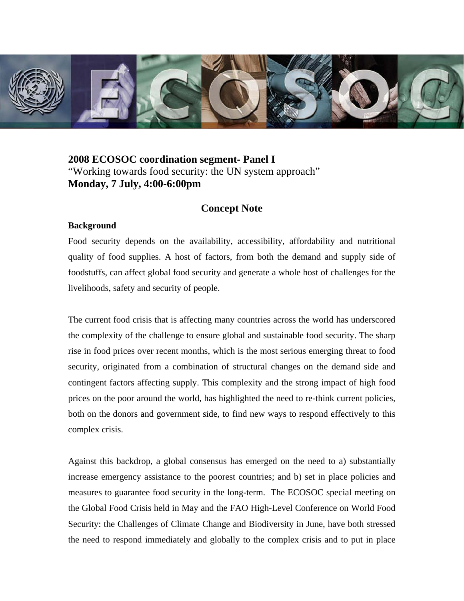

# **2008 ECOSOC coordination segment- Panel I**  "Working towards food security: the UN system approach" **Monday, 7 July, 4:00-6:00pm**

## **Concept Note**

#### **Background**

Food security depends on the availability, accessibility, affordability and nutritional quality of food supplies. A host of factors, from both the demand and supply side of foodstuffs, can affect global food security and generate a whole host of challenges for the livelihoods, safety and security of people.

The current food crisis that is affecting many countries across the world has underscored the complexity of the challenge to ensure global and sustainable food security. The sharp rise in food prices over recent months, which is the most serious emerging threat to food security, originated from a combination of structural changes on the demand side and contingent factors affecting supply. This complexity and the strong impact of high food prices on the poor around the world, has highlighted the need to re-think current policies, both on the donors and government side, to find new ways to respond effectively to this complex crisis.

Against this backdrop, a global consensus has emerged on the need to a) substantially increase emergency assistance to the poorest countries; and b) set in place policies and measures to guarantee food security in the long-term. The ECOSOC special meeting on the Global Food Crisis held in May and the FAO High-Level Conference on World Food Security: the Challenges of Climate Change and Biodiversity in June, have both stressed the need to respond immediately and globally to the complex crisis and to put in place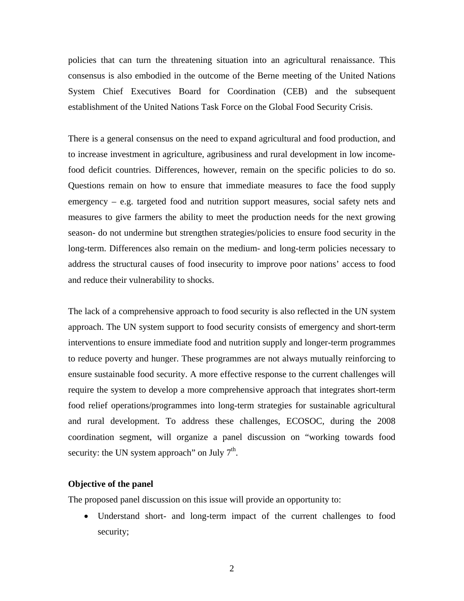policies that can turn the threatening situation into an agricultural renaissance. This consensus is also embodied in the outcome of the Berne meeting of the United Nations System Chief Executives Board for Coordination (CEB) and the subsequent establishment of the United Nations Task Force on the Global Food Security Crisis.

There is a general consensus on the need to expand agricultural and food production, and to increase investment in agriculture, agribusiness and rural development in low incomefood deficit countries. Differences, however, remain on the specific policies to do so. Questions remain on how to ensure that immediate measures to face the food supply emergency – e.g. targeted food and nutrition support measures, social safety nets and measures to give farmers the ability to meet the production needs for the next growing season- do not undermine but strengthen strategies/policies to ensure food security in the long-term. Differences also remain on the medium- and long-term policies necessary to address the structural causes of food insecurity to improve poor nations' access to food and reduce their vulnerability to shocks.

The lack of a comprehensive approach to food security is also reflected in the UN system approach. The UN system support to food security consists of emergency and short-term interventions to ensure immediate food and nutrition supply and longer-term programmes to reduce poverty and hunger. These programmes are not always mutually reinforcing to ensure sustainable food security. A more effective response to the current challenges will require the system to develop a more comprehensive approach that integrates short-term food relief operations/programmes into long-term strategies for sustainable agricultural and rural development. To address these challenges, ECOSOC, during the 2008 coordination segment, will organize a panel discussion on "working towards food security: the UN system approach" on July  $7<sup>th</sup>$ .

### **Objective of the panel**

The proposed panel discussion on this issue will provide an opportunity to:

• Understand short- and long-term impact of the current challenges to food security;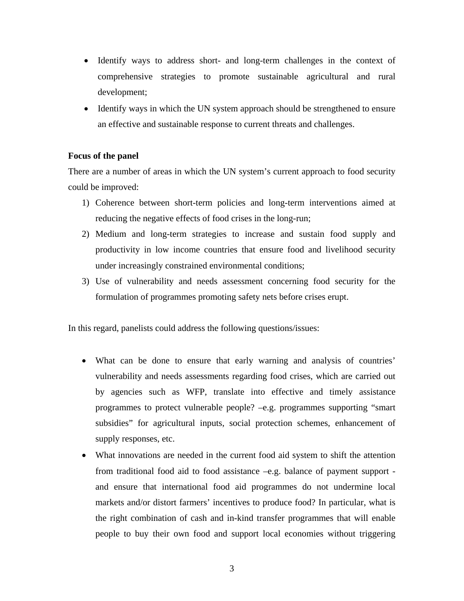- Identify ways to address short- and long-term challenges in the context of comprehensive strategies to promote sustainable agricultural and rural development;
- Identify ways in which the UN system approach should be strengthened to ensure an effective and sustainable response to current threats and challenges.

### **Focus of the panel**

There are a number of areas in which the UN system's current approach to food security could be improved:

- 1) Coherence between short-term policies and long-term interventions aimed at reducing the negative effects of food crises in the long-run;
- 2) Medium and long-term strategies to increase and sustain food supply and productivity in low income countries that ensure food and livelihood security under increasingly constrained environmental conditions;
- 3) Use of vulnerability and needs assessment concerning food security for the formulation of programmes promoting safety nets before crises erupt.

In this regard, panelists could address the following questions/issues:

- What can be done to ensure that early warning and analysis of countries' vulnerability and needs assessments regarding food crises, which are carried out by agencies such as WFP, translate into effective and timely assistance programmes to protect vulnerable people? –e.g. programmes supporting "smart subsidies" for agricultural inputs, social protection schemes, enhancement of supply responses, etc.
- What innovations are needed in the current food aid system to shift the attention from traditional food aid to food assistance –e.g. balance of payment support and ensure that international food aid programmes do not undermine local markets and/or distort farmers' incentives to produce food? In particular, what is the right combination of cash and in-kind transfer programmes that will enable people to buy their own food and support local economies without triggering